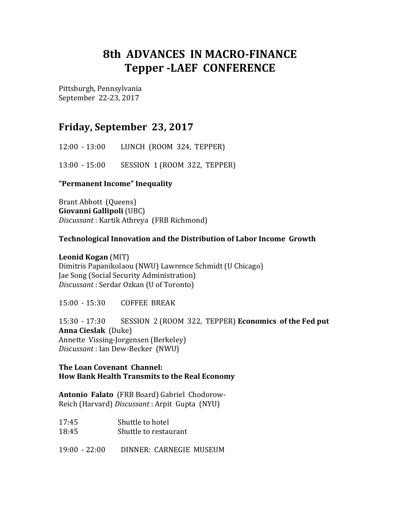# **8th ADVANCES IN MACRO-FINANCE Tepper -LAEF CONFERENCE**

Pittsburgh, Pennsylvania September 22-23, 2017

# **Friday, September 23, 2017**

12:00 - 13:00 LUNCH (ROOM 324, TEPPER)

13:00 - 15:00 SESSION 1 (ROOM 322, TEPPER)

### **"Permanent Income" Inequality**

Brant Abbott (Queens) **Giovanni Gallipoli** (UBC) *Discussant* : Kartik Athreya (FRB Richmond)

### **Technological Innovation and the Distribution of Labor Income Growth**

#### **Leonid Kogan** (MIT)

Dimitris Papanikolaou (NWU) Lawrence Schmidt (U Chicago) Jae Song (Social Security Administration) *Discussant* : Serdar Ozkan (U of Toronto)

15:00 - 15:30 COFFEE BREAK

15:30 - 17:30 SESSION 2 (ROOM 322, TEPPER) **Economics of the Fed put Anna Cieslak** (Duke) Annette Vissing-Jorgensen (Berkeley) *Discussant* : Ian Dew-Becker (NWU)

#### **The Loan Covenant Channel: How Bank Health Transmits to the Real Economy**

**Antonio Falato** (FRB Board) Gabriel Chodorow-Reich (Harvard) *Discussant* : Arpit Gupta (NYU)

| 17:45 | Shuttle to hotel      |
|-------|-----------------------|
| 18:45 | Shuttle to restaurant |

19:00 - 22:00 DINNER: CARNEGIE MUSEUM